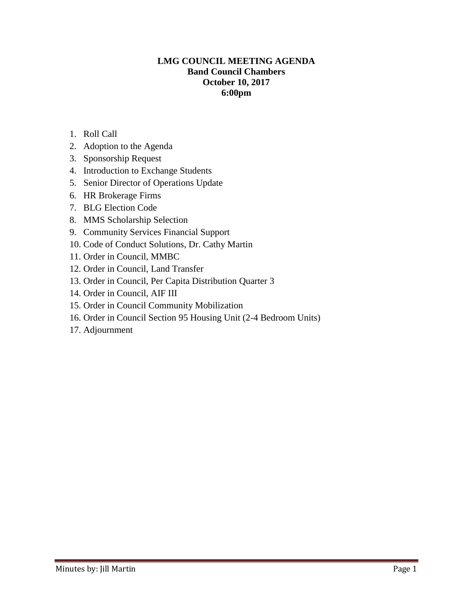## **LMG COUNCIL MEETING AGENDA Band Council Chambers October 10, 2017 6:00pm**

- 1. Roll Call
- 2. Adoption to the Agenda
- 3. Sponsorship Request
- 4. Introduction to Exchange Students
- 5. Senior Director of Operations Update
- 6. HR Brokerage Firms
- 7. BLG Election Code
- 8. MMS Scholarship Selection
- 9. Community Services Financial Support
- 10. Code of Conduct Solutions, Dr. Cathy Martin
- 11. Order in Council, MMBC
- 12. Order in Council, Land Transfer
- 13. Order in Council, Per Capita Distribution Quarter 3
- 14. Order in Council, AIF III
- 15. Order in Council Community Mobilization
- 16. Order in Council Section 95 Housing Unit (2-4 Bedroom Units)
- 17. Adjournment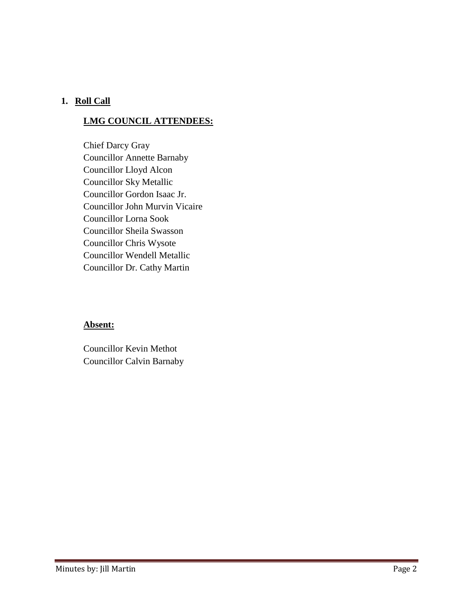## **1. Roll Call**

# **LMG COUNCIL ATTENDEES:**

Chief Darcy Gray Councillor Annette Barnaby Councillor Lloyd Alcon Councillor Sky Metallic Councillor Gordon Isaac Jr. Councillor John Murvin Vicaire Councillor Lorna Sook Councillor Sheila Swasson Councillor Chris Wysote Councillor Wendell Metallic Councillor Dr. Cathy Martin

## **Absent:**

Councillor Kevin Methot Councillor Calvin Barnaby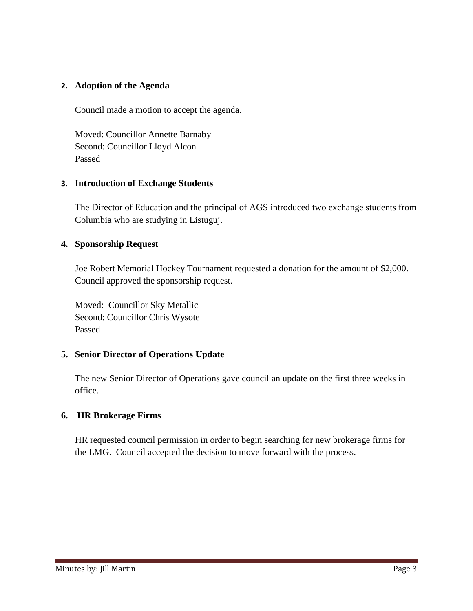#### **2. Adoption of the Agenda**

Council made a motion to accept the agenda.

Moved: Councillor Annette Barnaby Second: Councillor Lloyd Alcon Passed

#### **3. Introduction of Exchange Students**

The Director of Education and the principal of AGS introduced two exchange students from Columbia who are studying in Listuguj.

#### **4. Sponsorship Request**

Joe Robert Memorial Hockey Tournament requested a donation for the amount of \$2,000. Council approved the sponsorship request.

Moved: Councillor Sky Metallic Second: Councillor Chris Wysote Passed

## **5. Senior Director of Operations Update**

The new Senior Director of Operations gave council an update on the first three weeks in office.

## **6. HR Brokerage Firms**

HR requested council permission in order to begin searching for new brokerage firms for the LMG. Council accepted the decision to move forward with the process.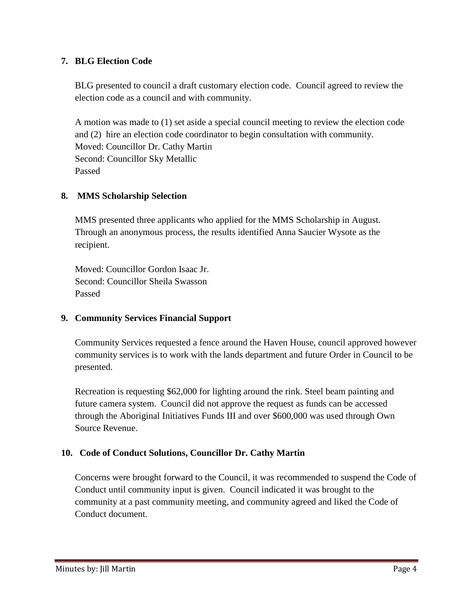## **7. BLG Election Code**

BLG presented to council a draft customary election code. Council agreed to review the election code as a council and with community.

A motion was made to (1) set aside a special council meeting to review the election code and (2) hire an election code coordinator to begin consultation with community. Moved: Councillor Dr. Cathy Martin Second: Councillor Sky Metallic Passed

## **8. MMS Scholarship Selection**

MMS presented three applicants who applied for the MMS Scholarship in August. Through an anonymous process, the results identified Anna Saucier Wysote as the recipient.

Moved: Councillor Gordon Isaac Jr. Second: Councillor Sheila Swasson Passed

# **9. Community Services Financial Support**

Community Services requested a fence around the Haven House, council approved however community services is to work with the lands department and future Order in Council to be presented.

Recreation is requesting \$62,000 for lighting around the rink. Steel beam painting and future camera system. Council did not approve the request as funds can be accessed through the Aboriginal Initiatives Funds III and over \$600,000 was used through Own Source Revenue.

# **10. Code of Conduct Solutions, Councillor Dr. Cathy Martin**

Concerns were brought forward to the Council, it was recommended to suspend the Code of Conduct until community input is given. Council indicated it was brought to the community at a past community meeting, and community agreed and liked the Code of Conduct document.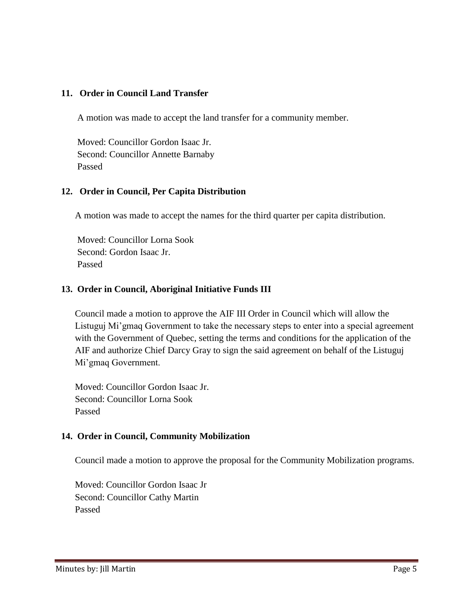## **11. Order in Council Land Transfer**

A motion was made to accept the land transfer for a community member.

Moved: Councillor Gordon Isaac Jr. Second: Councillor Annette Barnaby Passed

#### **12. Order in Council, Per Capita Distribution**

A motion was made to accept the names for the third quarter per capita distribution.

Moved: Councillor Lorna Sook Second: Gordon Isaac Jr. Passed

#### **13. Order in Council, Aboriginal Initiative Funds III**

Council made a motion to approve the AIF III Order in Council which will allow the Listuguj Mi'gmaq Government to take the necessary steps to enter into a special agreement with the Government of Quebec, setting the terms and conditions for the application of the AIF and authorize Chief Darcy Gray to sign the said agreement on behalf of the Listuguj Mi'gmaq Government.

Moved: Councillor Gordon Isaac Jr. Second: Councillor Lorna Sook Passed

## **14. Order in Council, Community Mobilization**

Council made a motion to approve the proposal for the Community Mobilization programs.

Moved: Councillor Gordon Isaac Jr Second: Councillor Cathy Martin Passed